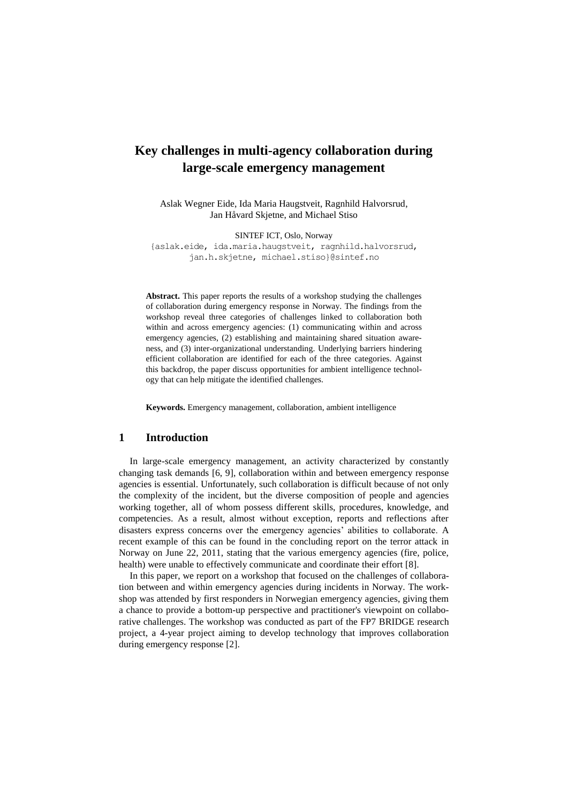# **Key challenges in multi-agency collaboration during large-scale emergency management**

Aslak Wegner Eide, Ida Maria Haugstveit, Ragnhild Halvorsrud, Jan Håvard Skjetne, and Michael Stiso

SINTEF ICT, Oslo, Norway

{aslak.eide, ida.maria.haugstveit, ragnhild.halvorsrud, jan.h.skjetne, michael.stiso}@sintef.no

**Abstract.** This paper reports the results of a workshop studying the challenges of collaboration during emergency response in Norway. The findings from the workshop reveal three categories of challenges linked to collaboration both within and across emergency agencies: (1) communicating within and across emergency agencies, (2) establishing and maintaining shared situation awareness, and (3) inter-organizational understanding. Underlying barriers hindering efficient collaboration are identified for each of the three categories. Against this backdrop, the paper discuss opportunities for ambient intelligence technology that can help mitigate the identified challenges.

**Keywords.** Emergency management, collaboration, ambient intelligence

## **1 Introduction**

In large-scale emergency management, an activity characterized by constantly changing task demands [6, 9], collaboration within and between emergency response agencies is essential. Unfortunately, such collaboration is difficult because of not only the complexity of the incident, but the diverse composition of people and agencies working together, all of whom possess different skills, procedures, knowledge, and competencies. As a result, almost without exception, reports and reflections after disasters express concerns over the emergency agencies' abilities to collaborate. A recent example of this can be found in the concluding report on the terror attack in Norway on June 22, 2011, stating that the various emergency agencies (fire, police, health) were unable to effectively communicate and coordinate their effort [8].

In this paper, we report on a workshop that focused on the challenges of collaboration between and within emergency agencies during incidents in Norway. The workshop was attended by first responders in Norwegian emergency agencies, giving them a chance to provide a bottom-up perspective and practitioner's viewpoint on collaborative challenges. The workshop was conducted as part of the FP7 BRIDGE research project, a 4-year project aiming to develop technology that improves collaboration during emergency response [2].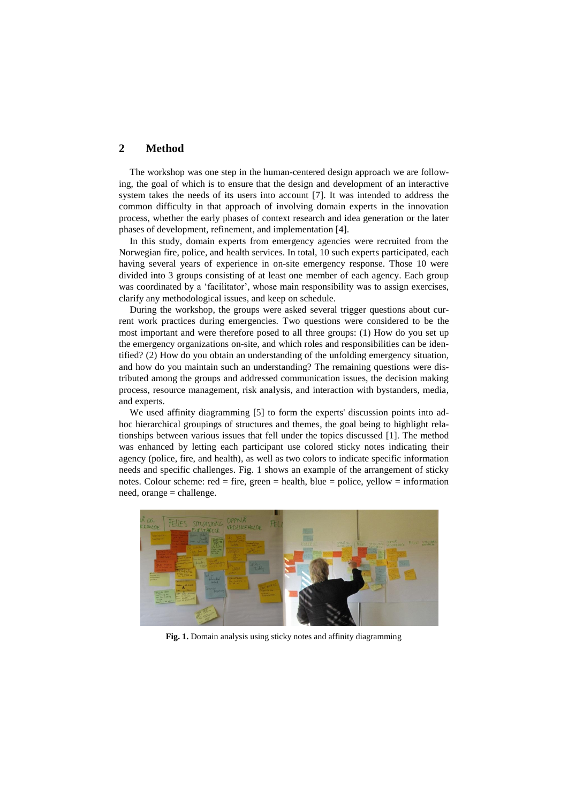# **2 Method**

The workshop was one step in the human-centered design approach we are following, the goal of which is to ensure that the design and development of an interactive system takes the needs of its users into account [7]. It was intended to address the common difficulty in that approach of involving domain experts in the innovation process, whether the early phases of context research and idea generation or the later phases of development, refinement, and implementation [4].

In this study, domain experts from emergency agencies were recruited from the Norwegian fire, police, and health services. In total, 10 such experts participated, each having several years of experience in on-site emergency response. Those 10 were divided into 3 groups consisting of at least one member of each agency. Each group was coordinated by a 'facilitator', whose main responsibility was to assign exercises, clarify any methodological issues, and keep on schedule.

During the workshop, the groups were asked several trigger questions about current work practices during emergencies. Two questions were considered to be the most important and were therefore posed to all three groups: (1) How do you set up the emergency organizations on-site, and which roles and responsibilities can be identified? (2) How do you obtain an understanding of the unfolding emergency situation, and how do you maintain such an understanding? The remaining questions were distributed among the groups and addressed communication issues, the decision making process, resource management, risk analysis, and interaction with bystanders, media, and experts.

We used affinity diagramming [5] to form the experts' discussion points into adhoc hierarchical groupings of structures and themes, the goal being to highlight relationships between various issues that fell under the topics discussed [1]. The method was enhanced by letting each participant use colored sticky notes indicating their agency (police, fire, and health), as well as two colors to indicate specific information needs and specific challenges. Fig. 1 shows an example of the arrangement of sticky notes. Colour scheme:  $red = fire$ ,  $green = health$ ,  $blue = police$ ,  $yellow = information$ need, orange = challenge.



**Fig. 1.** Domain analysis using sticky notes and affinity diagramming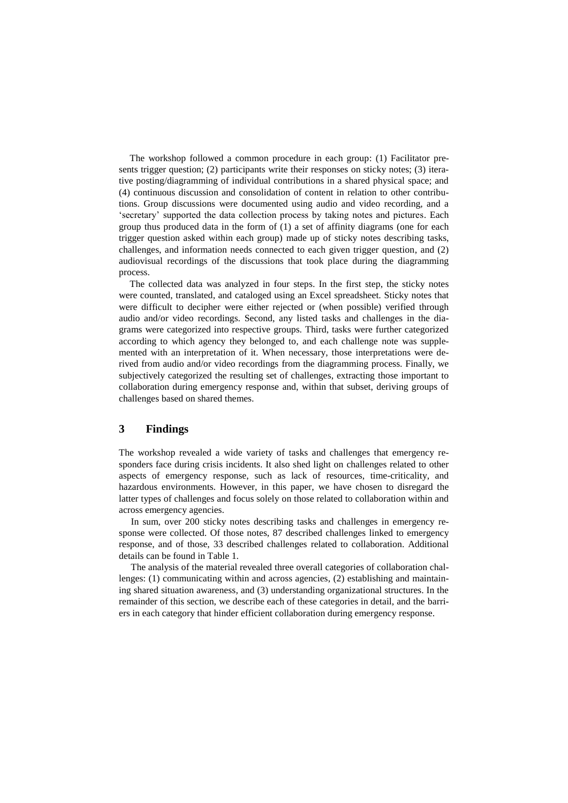The workshop followed a common procedure in each group: (1) Facilitator presents trigger question; (2) participants write their responses on sticky notes; (3) iterative posting/diagramming of individual contributions in a shared physical space; and (4) continuous discussion and consolidation of content in relation to other contributions. Group discussions were documented using audio and video recording, and a 'secretary' supported the data collection process by taking notes and pictures. Each group thus produced data in the form of (1) a set of affinity diagrams (one for each trigger question asked within each group) made up of sticky notes describing tasks, challenges, and information needs connected to each given trigger question, and (2) audiovisual recordings of the discussions that took place during the diagramming process.

The collected data was analyzed in four steps. In the first step, the sticky notes were counted, translated, and cataloged using an Excel spreadsheet. Sticky notes that were difficult to decipher were either rejected or (when possible) verified through audio and/or video recordings. Second, any listed tasks and challenges in the diagrams were categorized into respective groups. Third, tasks were further categorized according to which agency they belonged to, and each challenge note was supplemented with an interpretation of it. When necessary, those interpretations were derived from audio and/or video recordings from the diagramming process. Finally, we subjectively categorized the resulting set of challenges, extracting those important to collaboration during emergency response and, within that subset, deriving groups of challenges based on shared themes.

# **3 Findings**

The workshop revealed a wide variety of tasks and challenges that emergency responders face during crisis incidents. It also shed light on challenges related to other aspects of emergency response, such as lack of resources, time-criticality, and hazardous environments. However, in this paper, we have chosen to disregard the latter types of challenges and focus solely on those related to collaboration within and across emergency agencies.

 In sum, over 200 sticky notes describing tasks and challenges in emergency response were collected. Of those notes, 87 described challenges linked to emergency response, and of those, 33 described challenges related to collaboration. Additional details can be found in Table 1.

 The analysis of the material revealed three overall categories of collaboration challenges: (1) communicating within and across agencies, (2) establishing and maintaining shared situation awareness, and (3) understanding organizational structures. In the remainder of this section, we describe each of these categories in detail, and the barriers in each category that hinder efficient collaboration during emergency response.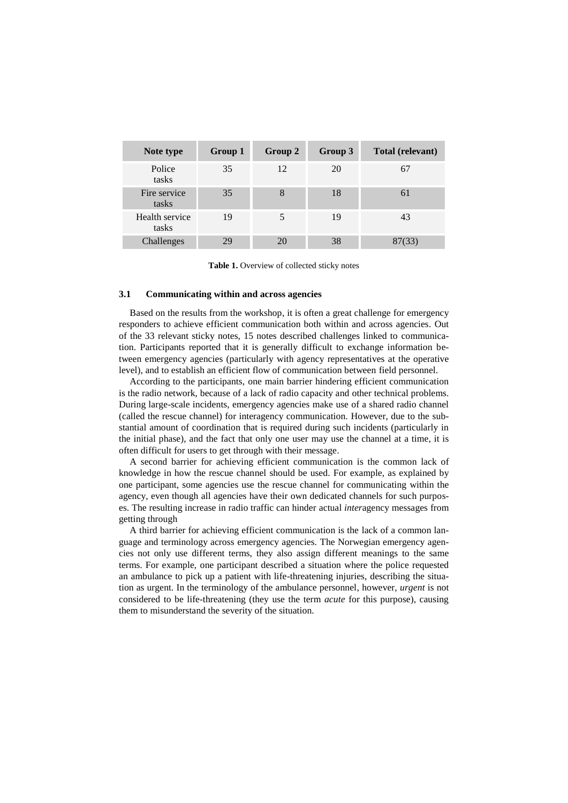| Note type               | Group 1 | Group 2 | Group 3 | Total (relevant) |
|-------------------------|---------|---------|---------|------------------|
| Police<br>tasks         | 35      | 12      | 20      | 67               |
| Fire service<br>tasks   | 35      | 8       | 18      | 61               |
| Health service<br>tasks | 19      | 5       | 19      | 43               |
| Challenges              | 29      | 20      | 38      | 87(33)           |

**Table 1.** Overview of collected sticky notes

#### **3.1 Communicating within and across agencies**

Based on the results from the workshop, it is often a great challenge for emergency responders to achieve efficient communication both within and across agencies. Out of the 33 relevant sticky notes, 15 notes described challenges linked to communication. Participants reported that it is generally difficult to exchange information between emergency agencies (particularly with agency representatives at the operative level), and to establish an efficient flow of communication between field personnel.

According to the participants, one main barrier hindering efficient communication is the radio network, because of a lack of radio capacity and other technical problems. During large-scale incidents, emergency agencies make use of a shared radio channel (called the rescue channel) for interagency communication. However, due to the substantial amount of coordination that is required during such incidents (particularly in the initial phase), and the fact that only one user may use the channel at a time, it is often difficult for users to get through with their message.

A second barrier for achieving efficient communication is the common lack of knowledge in how the rescue channel should be used. For example, as explained by one participant, some agencies use the rescue channel for communicating within the agency, even though all agencies have their own dedicated channels for such purposes. The resulting increase in radio traffic can hinder actual *inter*agency messages from getting through

A third barrier for achieving efficient communication is the lack of a common language and terminology across emergency agencies. The Norwegian emergency agencies not only use different terms, they also assign different meanings to the same terms. For example, one participant described a situation where the police requested an ambulance to pick up a patient with life-threatening injuries, describing the situation as urgent. In the terminology of the ambulance personnel, however, *urgent* is not considered to be life-threatening (they use the term *acute* for this purpose), causing them to misunderstand the severity of the situation.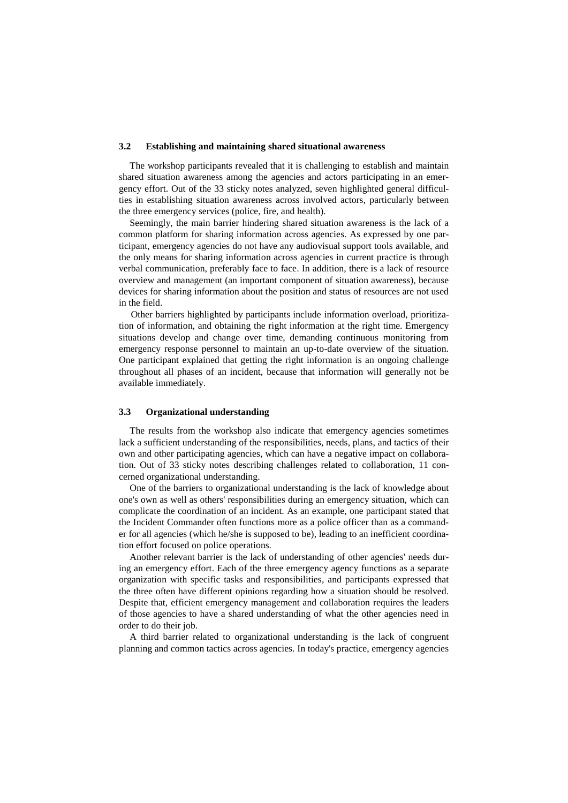## **3.2 Establishing and maintaining shared situational awareness**

The workshop participants revealed that it is challenging to establish and maintain shared situation awareness among the agencies and actors participating in an emergency effort. Out of the 33 sticky notes analyzed, seven highlighted general difficulties in establishing situation awareness across involved actors, particularly between the three emergency services (police, fire, and health).

Seemingly, the main barrier hindering shared situation awareness is the lack of a common platform for sharing information across agencies. As expressed by one participant, emergency agencies do not have any audiovisual support tools available, and the only means for sharing information across agencies in current practice is through verbal communication, preferably face to face. In addition, there is a lack of resource overview and management (an important component of situation awareness), because devices for sharing information about the position and status of resources are not used in the field.

 Other barriers highlighted by participants include information overload, prioritization of information, and obtaining the right information at the right time. Emergency situations develop and change over time, demanding continuous monitoring from emergency response personnel to maintain an up-to-date overview of the situation. One participant explained that getting the right information is an ongoing challenge throughout all phases of an incident, because that information will generally not be available immediately.

### **3.3 Organizational understanding**

The results from the workshop also indicate that emergency agencies sometimes lack a sufficient understanding of the responsibilities, needs, plans, and tactics of their own and other participating agencies, which can have a negative impact on collaboration. Out of 33 sticky notes describing challenges related to collaboration, 11 concerned organizational understanding.

One of the barriers to organizational understanding is the lack of knowledge about one's own as well as others' responsibilities during an emergency situation, which can complicate the coordination of an incident. As an example, one participant stated that the Incident Commander often functions more as a police officer than as a commander for all agencies (which he/she is supposed to be), leading to an inefficient coordination effort focused on police operations.

Another relevant barrier is the lack of understanding of other agencies' needs during an emergency effort. Each of the three emergency agency functions as a separate organization with specific tasks and responsibilities, and participants expressed that the three often have different opinions regarding how a situation should be resolved. Despite that, efficient emergency management and collaboration requires the leaders of those agencies to have a shared understanding of what the other agencies need in order to do their job.

A third barrier related to organizational understanding is the lack of congruent planning and common tactics across agencies. In today's practice, emergency agencies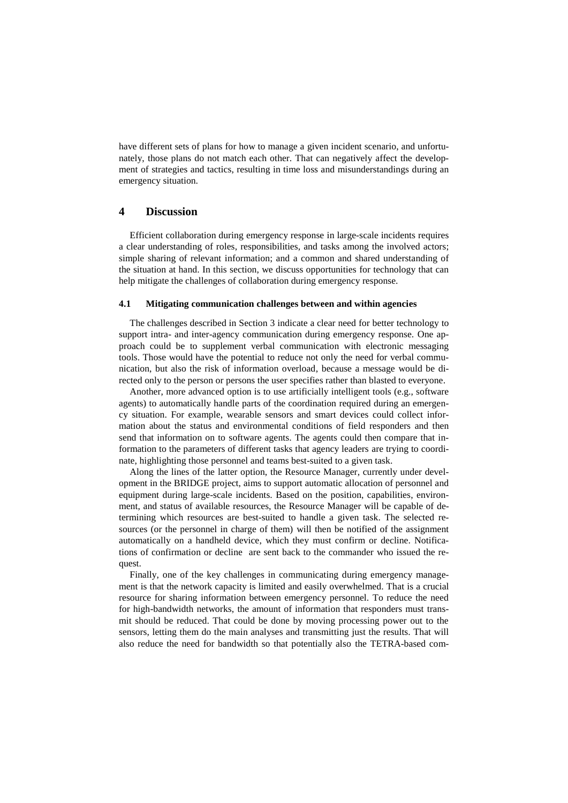have different sets of plans for how to manage a given incident scenario, and unfortunately, those plans do not match each other. That can negatively affect the development of strategies and tactics, resulting in time loss and misunderstandings during an emergency situation.

## **4 Discussion**

Efficient collaboration during emergency response in large-scale incidents requires a clear understanding of roles, responsibilities, and tasks among the involved actors; simple sharing of relevant information; and a common and shared understanding of the situation at hand. In this section, we discuss opportunities for technology that can help mitigate the challenges of collaboration during emergency response.

## **4.1 Mitigating communication challenges between and within agencies**

The challenges described in Section 3 indicate a clear need for better technology to support intra- and inter-agency communication during emergency response. One approach could be to supplement verbal communication with electronic messaging tools. Those would have the potential to reduce not only the need for verbal communication, but also the risk of information overload, because a message would be directed only to the person or persons the user specifies rather than blasted to everyone.

Another, more advanced option is to use artificially intelligent tools (e.g., software agents) to automatically handle parts of the coordination required during an emergency situation. For example, wearable sensors and smart devices could collect information about the status and environmental conditions of field responders and then send that information on to software agents. The agents could then compare that information to the parameters of different tasks that agency leaders are trying to coordinate, highlighting those personnel and teams best-suited to a given task.

Along the lines of the latter option, the Resource Manager, currently under development in the BRIDGE project, aims to support automatic allocation of personnel and equipment during large-scale incidents. Based on the position, capabilities, environment, and status of available resources, the Resource Manager will be capable of determining which resources are best-suited to handle a given task. The selected resources (or the personnel in charge of them) will then be notified of the assignment automatically on a handheld device, which they must confirm or decline. Notifications of confirmation or decline are sent back to the commander who issued the request.

Finally, one of the key challenges in communicating during emergency management is that the network capacity is limited and easily overwhelmed. That is a crucial resource for sharing information between emergency personnel. To reduce the need for high-bandwidth networks, the amount of information that responders must transmit should be reduced. That could be done by moving processing power out to the sensors, letting them do the main analyses and transmitting just the results. That will also reduce the need for bandwidth so that potentially also the TETRA-based com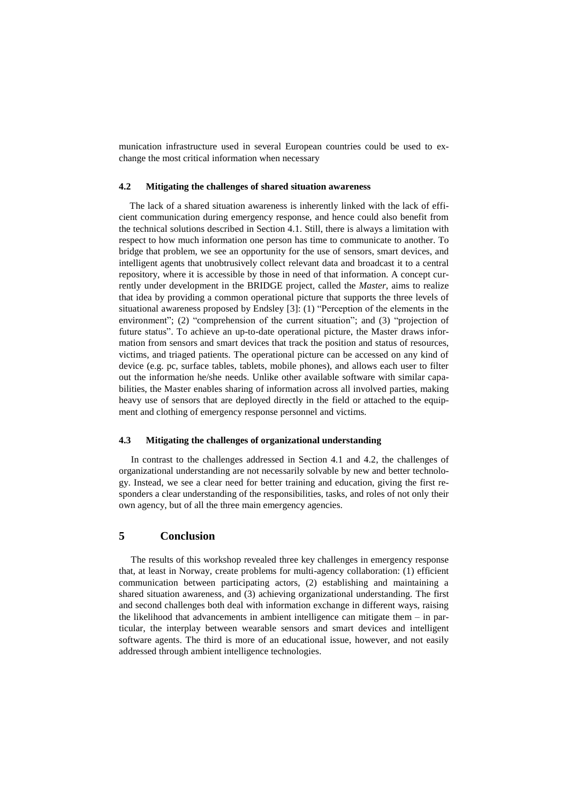munication infrastructure used in several European countries could be used to exchange the most critical information when necessary

## **4.2 Mitigating the challenges of shared situation awareness**

The lack of a shared situation awareness is inherently linked with the lack of efficient communication during emergency response, and hence could also benefit from the technical solutions described in Section 4.1. Still, there is always a limitation with respect to how much information one person has time to communicate to another. To bridge that problem, we see an opportunity for the use of sensors, smart devices, and intelligent agents that unobtrusively collect relevant data and broadcast it to a central repository, where it is accessible by those in need of that information. A concept currently under development in the BRIDGE project, called the *Master*, aims to realize that idea by providing a common operational picture that supports the three levels of situational awareness proposed by Endsley [3]: (1) "Perception of the elements in the environment"; (2) "comprehension of the current situation"; and (3) "projection of future status". To achieve an up-to-date operational picture, the Master draws information from sensors and smart devices that track the position and status of resources, victims, and triaged patients. The operational picture can be accessed on any kind of device (e.g. pc, surface tables, tablets, mobile phones), and allows each user to filter out the information he/she needs. Unlike other available software with similar capabilities, the Master enables sharing of information across all involved parties, making heavy use of sensors that are deployed directly in the field or attached to the equipment and clothing of emergency response personnel and victims.

## **4.3 Mitigating the challenges of organizational understanding**

 In contrast to the challenges addressed in Section 4.1 and 4.2, the challenges of organizational understanding are not necessarily solvable by new and better technology. Instead, we see a clear need for better training and education, giving the first responders a clear understanding of the responsibilities, tasks, and roles of not only their own agency, but of all the three main emergency agencies.

# **5 Conclusion**

 The results of this workshop revealed three key challenges in emergency response that, at least in Norway, create problems for multi-agency collaboration: (1) efficient communication between participating actors, (2) establishing and maintaining a shared situation awareness, and (3) achieving organizational understanding. The first and second challenges both deal with information exchange in different ways, raising the likelihood that advancements in ambient intelligence can mitigate them – in particular, the interplay between wearable sensors and smart devices and intelligent software agents. The third is more of an educational issue, however, and not easily addressed through ambient intelligence technologies.